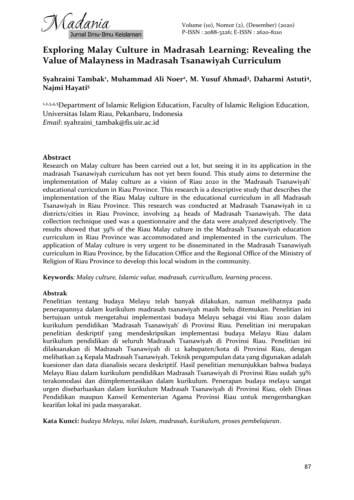# **Exploring Malay Culture in Madrasah Learning: Revealing the Value of Malayness in Madrasah Tsanawiyah Curriculum**

# **Syahraini Tambak<sup>1</sup> , Muhammad Ali Noer<sup>2</sup> , M. Yusuf Ahmad<sup>3</sup> , Daharmi Astuti<sup>4</sup> , Najmi Hayati<sup>5</sup>**

1,2,3,4,5 Department of Islamic Religion Education, Faculty of Islamic Religion Education, Universitas Islam Riau, Pekanbaru, Indonesia *Email*: syahraini\_tambak@fis.uir.ac.id

### **Abstract**

Research on Malay culture has been carried out a lot, but seeing it in its application in the madrasah Tsanawiyah curriculum has not yet been found. This study aims to determine the implementation of Malay culture as a vision of Riau 2020 in the 'Madrasah Tsanawiyah' educational curriculum in Riau Province. This research is a descriptive study that describes the implementation of the Riau Malay culture in the educational curriculum in all Madrasah Tsanawiyah in Riau Province. This research was conducted at Madrasah Tsanawiyah in 12 districts/cities in Riau Province, involving 24 heads of Madrasah Tsanawiyah. The data collection technique used was a questionnaire and the data were analyzed descriptively. The results showed that 39% of the Riau Malay culture in the Madrasah Tsanawiyah education curriculum in Riau Province was accommodated and implemented in the curriculum. The application of Malay culture is very urgent to be disseminated in the Madrasah Tsanawiyah curriculum in Riau Province, by the Education Office and the Regional Office of the Ministry of Religion of Riau Province to develop this local wisdom in the community.

**Keywords***: Malay culture, Islamic value, madrasah, curricullum, learning process*.

### **Abstrak**

Penelitian tentang budaya Melayu telah banyak dilakukan, namun melihatnya pada penerapannya dalam kurikulum madrasah tsanawiyah masih belu ditemukan. Penelitian ini bertujuan untuk mengetahui implementasi budaya Melayu sebagai visi Riau 2020 dalam kurikulum pendidikan 'Madrasah Tsanawiyah' di Provinsi Riau. Penelitian ini merupakan penelitian deskriptif yang mendeskripsikan implementasi budaya Melayu Riau dalam kurikulum pendidikan di seluruh Madrasah Tsanawiyah di Provinsi Riau. Penelitian ini dilaksanakan di Madrasah Tsanawiyah di 12 kabupaten/kota di Provinsi Riau, dengan melibatkan 24 Kepala Madrasah Tsanawiyah. Teknik pengumpulan data yang digunakan adalah kuesioner dan data dianalisis secara deskriptif. Hasil penelitian menunjukkan bahwa budaya Melayu Riau dalam kurikulum pendidikan Madrasah Tsanawiyah di Provinsi Riau sudah 39% terakomodasi dan diimplementasikan dalam kurikulum. Penerapan budaya melayu sangat urgen disebarluaskan dalam kurikulum Madrasah Tsanawiyah di Provinsi Riau, oleh Dinas Pendidikan maupun Kanwil Kementerian Agama Provinsi Riau untuk mengembangkan kearifan lokal ini pada masyarakat.

**Kata Kunci:** *budaya Melayu, nilai Islam, madrasah, kurikulum, proses pembelajaran*.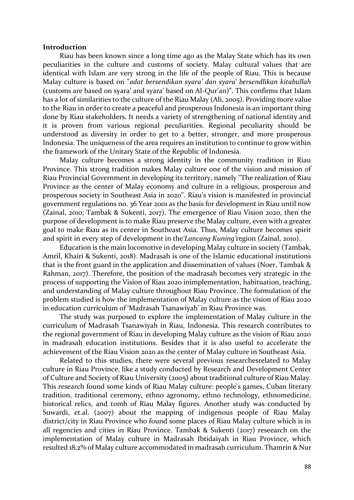#### **Introduction**

Riau has been known since a long time ago as the Malay State which has its own peculiarities in the culture and customs of society. Malay cultural values that are identical with Islam are very strong in the life of the people of Riau. This is because Malay culture is based on "*adat bersendikan syara' dan syara' bersendlikan kitabullah* (customs are based on syara' and syara' based on Al-Qur'an)". This confirms that Islam has a lot of similarities to the culture of the Riau Malay (Ali, 2005). Providing more value to the Riau in order to create a peaceful and prosperous Indonesia is an important thing done by Riau stakeholders. It needs a variety of strengthening of national identity and it is proven from various regional peculiarities. Regional peculiarity should be understood as diversity in order to get to a better, stronger, and more prosperous Indonesia. The uniqueness of the area requires an institution to continue to grow within the framework of the Unitary State of the Republic of Indonesia.

Malay culture becomes a strong identity in the community tradition in Riau Province. This strong tradition makes Malay culture one of the vision and mission of Riau Provincial Government in developing its territory, namely "The realization of Riau Province as the center of Malay economy and culture in a religious, prosperous and prosperous society in Southeast Asia in 2020". Riau's vision is manifested in provincial government regulations no. 36 Year 2001 as the basis for development in Riau until now (Zainal, 2010; Tambak & Sukenti, 2017). The emergence of Riau Vision 2020, then the purpose of development is to make Riau preserve the Malay culture, even with a greater goal to make Riau as its center in Southeast Asia. Thus, Malay culture becomes spirit and spirit in every step of development in the*'Lancang Kuning'*region (Zainal, 2010).

Education is the main locomotive in developing Malay culture in society (Tambak, Amril, Khairi & Sukenti, 2018). Madrasah is one of the Islamic educational institutions that is the front guard in the application and dissemination of values (Noer, Tambak & Rahman, 2017). Therefore, the position of the madrasah becomes very strategic in the process of supporting the Vision of Riau 2020 inimplementation, habituation, teaching, and understanding of Malay culture throughout Riau Province. The formulation of the problem studied is how the implementation of Malay culture as the vision of Riau 2020 in education curriculum of 'Madrasah Tsanawiyah' in Riau Province was.

The study was purposed to explore the implementation of Malay culture in the curriculum of Madrasah Tsanawiyah in Riau, Indonesia. This research contributes to the regional government of Riau in developing Malay culture as the vision of Riau 2020 in madrasah education institutions. Besides that it is also useful to accelerate the achievement of the Riau Vision 2020 as the center of Malay culture in Southeast Asia.

Related to this studies, there were several previous researchesrelated to Malay culture in Riau Province, like a study conducted by Research and Development Center of Culture and Society of Riau University (2005) about traditional culture of Riau Malay. This research found some kinds of Riau Malay culture: people's games, Cuban literary tradition, traditional ceremony, ethno agronomy, ethno technology, ethnomedicine, historical relics, and tomb of Riau Malay figures. Another study was conducted by Suwardi, et.al. (2007) about the mapping of indigenous people of Riau Malay district/city in Riau Province who found some places of Riau Malay culture which is in all regencies and cities in Riau Province. Tambak & Sukenti (2017) reseearch on the implementation of Malay culture in Madrasah Ibtidaiyah in Riau Province, which resulted 18.2% of Malay culture accommodated in madrasah curriculum. Thamrin & Nur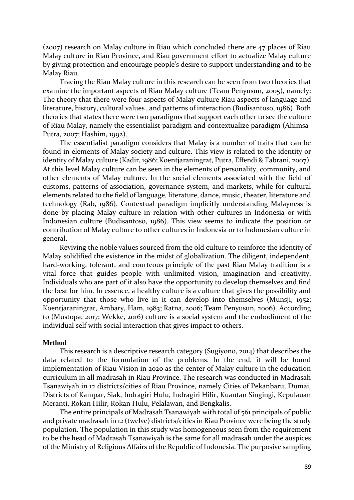(2007) research on Malay culture in Riau which concluded there are 47 places of Riau Malay culture in Riau Province, and Riau government effort to actualize Malay culture by giving protection and encourage people's desire to support understanding and to be Malay Riau.

Tracing the Riau Malay culture in this research can be seen from two theories that examine the important aspects of Riau Malay culture (Team Penyusun, 2005), namely: The theory that there were four aspects of Malay culture Riau aspects of language and literature, history, cultural values , and patterns of interaction (Budisantoso, 1986). Both theories that states there were two paradigms that support each other to see the culture of Riau Malay, namely the essentialist paradigm and contextualize paradigm (Ahimsa-Putra, 2007; Hashim, 1992).

The essentialist paradigm considers that Malay is a number of traits that can be found in elements of Malay society and culture. This view is related to the identity or identity of Malay culture (Kadir, 1986; Koentjaraningrat, Putra, Effendi & Tabrani, 2007). At this level Malay culture can be seen in the elements of personality, community, and other elements of Malay culture. In the social elements associated with the field of customs, patterns of association, governance system, and markets, while for cultural elements related to the field of language, literature, dance, music, theater, literature and technology (Rab, 1986). Contextual paradigm implicitly understanding Malayness is done by placing Malay culture in relation with other cultures in Indonesia or with Indonesian culture (Budisantoso, 1986). This view seems to indicate the position or contribution of Malay culture to other cultures in Indonesia or to Indonesian culture in general.

Reviving the noble values sourced from the old culture to reinforce the identity of Malay solidified the existence in the midst of globalization. The diligent, independent, hard-working, tolerant, and courteous principle of the past Riau Malay tradition is a vital force that guides people with unlimited vision, imagination and creativity. Individuals who are part of it also have the opportunity to develop themselves and find the best for him. In essence, a healthy culture is a culture that gives the possibility and opportunity that those who live in it can develop into themselves (Munsji, 1952; Koentjaraningrat, Ambary, Ham, 1983; Ratna, 2006; Team Penyusun, 2006). According to (Mustopa, 2017; Wekke, 2016) culture is a social system and the embodiment of the individual self with social interaction that gives impact to others.

### **Method**

This research is a descriptive research category (Sugiyono, 2014) that describes the data related to the formulation of the problems. In the end, it will be found implementation of Riau Vision in 2020 as the center of Malay culture in the education curriculum in all madrasah in Riau Province. The research was conducted in Madrasah Tsanawiyah in 12 districts/cities of Riau Province, namely Cities of Pekanbaru, Dumai, Districts of Kampar, Siak, Indragiri Hulu, Indragiri Hilir, Kuantan Singingi, Kepulauan Meranti, Rokan Hilir, Rokan Hulu, Pelalawan, and Bengkalis.

The entire principals of Madrasah Tsanawiyah with total of 561 principals of public and private madrasah in 12 (twelve) districts/cities in Riau Province were being the study population. The population in this study was homogeneous seen from the requirement to be the head of Madrasah Tsanawiyah is the same for all madrasah under the auspices of the Ministry of Religious Affairs of the Republic of Indonesia. The purposive sampling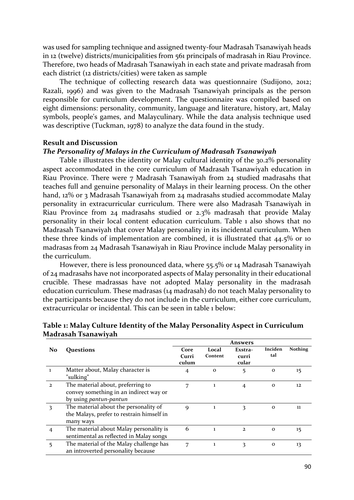was used for sampling technique and assigned twenty-four Madrasah Tsanawiyah heads in 12 (twelve) districts/municipalities from 561 principals of madrasah in Riau Province. Therefore, two heads of Madrasah Tsanawiyah in each state and private madrasah from each district (12 districts/cities) were taken as sample

The technique of collecting research data was questionnaire (Sudijono, 2012; Razali, 1996) and was given to the Madrasah Tsanawiyah principals as the person responsible for curriculum development. The questionnaire was compiled based on eight dimensions: personality, community, language and literature, history, art, Malay symbols, people's games, and Malayculinary. While the data analysis technique used was descriptive (Tuckman, 1978) to analyze the data found in the study.

#### **Result and Discussion**

### *The Personality of Malays in the Curriculum of Madrasah Tsanawiyah*

Table 1 illustrates the identity or Malay cultural identity of the 30.2% personality aspect accommodated in the core curriculum of Madrasah Tsanawiyah education in Riau Province. There were 7 Madrasah Tsanawiyah from 24 studied madrasahs that teaches full and genuine personality of Malays in their learning process. On the other hand, 12% or 3 Madrasah Tsanawiyah from 24 madrasahs studied accommodate Malay personality in extracurricular curriculum. There were also Madrasah Tsanawiyah in Riau Province from 24 madrasahs studied or 2.3% madrasah that provide Malay personality in their local content education curriculum. Table 1 also shows that no Madrasah Tsanawiyah that cover Malay personality in its incidental curriculum. When these three kinds of implementation are combined, it is illustrated that 44.5% or 10 madrasas from 24 Madrasah Tsanawiyah in Riau Province include Malay personality in the curriculum.

However, there is less pronounced data, where 55.5% or 14 Madrasah Tsanawiyah of 24 madrasahs have not incorporated aspects of Malay personality in their educational crucible. These madrassas have not adopted Malay personality in the madrasah education curriculum. These madrasas (14 madrasah) do not teach Malay personality to the participants because they do not include in the curriculum, either core curriculum, extracurricular or incidental. This can be seen in table 1 below:

|               |                                           |             |             | <b>Answers</b> |             |                |
|---------------|-------------------------------------------|-------------|-------------|----------------|-------------|----------------|
| No            | <b>Ouestions</b>                          | Core        | Local       | Exstra-        | Inciden     | <b>Nothing</b> |
|               |                                           | Curri       | Content     | curri          | tal         |                |
|               |                                           | culum       |             | cular          |             |                |
|               | Matter about, Malay character is          | 4           | $\mathbf 0$ | 5              | $\mathbf 0$ | 15             |
|               | "sulking"                                 |             |             |                |             |                |
| $\mathcal{L}$ | The material about, preferring to         | 7           | 1           | 4              | $\mathbf 0$ | 12             |
|               | convey something in an indirect way or    |             |             |                |             |                |
|               | by using <i>pantun-pantun</i>             |             |             |                |             |                |
| 3             | The material about the personality of     | $\mathbf Q$ | 1           | 3              | $\mathbf 0$ | 11             |
|               | the Malays, prefer to restrain himself in |             |             |                |             |                |
|               | many ways                                 |             |             |                |             |                |
|               | The material about Malay personality is   | 6           | ı           | $\mathbf{2}$   | $\Omega$    | 15             |
|               | sentimental as reflected in Malay songs   |             |             |                |             |                |
| 5             | The material of the Malay challenge has   | 7           | 1           | 3              | $\mathbf 0$ | 13             |
|               | an introverted personality because        |             |             |                |             |                |

### **Table 1: Malay Culture Identity of the Malay Personality Aspect in Curriculum Madrasah Tsanawiyah**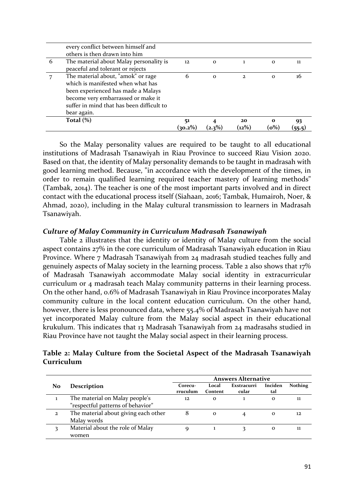|   | suffer in mind that has been difficult to<br>bear again.<br>Total $(\%)$                                      | 51<br>(30.2%) |              | 20<br>$(12\%)$ | $\mathbf{o}$<br>$(o\%)$ | 93  |
|---|---------------------------------------------------------------------------------------------------------------|---------------|--------------|----------------|-------------------------|-----|
|   | which is manifested when what has<br>been experienced has made a Malays<br>become very embarrassed or make it |               |              |                |                         |     |
|   | The material about, "amok" or rage                                                                            | 6             | $\mathbf 0$  | $\mathbf{2}$   | $\mathbf{o}$            | 16  |
| 6 | The material about Malay personality is<br>peaceful and tolerant or rejects                                   | $12 \,$       | $\mathbf{o}$ |                | $\Omega$                | 11. |
|   | every conflict between himself and<br>others is then drawn into him                                           |               |              |                |                         |     |

So the Malay personality values are required to be taught to all educational institutions of Madrasah Tsanawiyah in Riau Province to succeed Riau Vision 2020. Based on that, the identity of Malay personality demands to be taught in madrasah with good learning method. Because, "in accordance with the development of the times, in order to remain qualified learning required teacher mastery of learning methods" (Tambak, 2014). The teacher is one of the most important parts involved and in direct contact with the educational process itself (Siahaan, 2016; Tambak, Humairoh, Noer, & Ahmad, 2020), including in the Malay cultural transmission to learners in Madrasah Tsanawiyah.

### *Culture of Malay Community in Curriculum Madrasah Tsanawiyah*

Table 2 illustrates that the identity or identity of Malay culture from the social aspect contains 27% in the core curriculum of Madrasah Tsanawiyah education in Riau Province. Where 7 Madrasah Tsanawiyah from 24 madrasah studied teaches fully and genuinely aspects of Malay society in the learning process. Table 2 also shows that 17% of Madrasah Tsanawiyah accommodate Malay social identity in extracurricular curriculum or 4 madrasah teach Malay community patterns in their learning process. On the other hand, 0.6% of Madrasah Tsanawiyah in Riau Province incorporates Malay community culture in the local content education curriculum. On the other hand, however, there is less pronounced data, where 55.4% of Madrasah Tsanawiyah have not yet incorporated Malay culture from the Malay social aspect in their educational krukulum. This indicates that 13 Madrasah Tsanawiyah from 24 madrasahs studied in Riau Province have not taught the Malay social aspect in their learning process.

# **Table 2: Malay Culture from the Societal Aspect of the Madrasah Tsanawiyah Curriculum**

|              |                                      | <b>Answers Alternative</b> |                  |                      |                |                |  |  |
|--------------|--------------------------------------|----------------------------|------------------|----------------------|----------------|----------------|--|--|
| No           | <b>Description</b>                   | Corecu-<br>rruculum        | Local<br>Content | Exstracurri<br>cular | Inciden<br>tal | <b>Nothing</b> |  |  |
|              | The material on Malay people's       | 12                         | $\Omega$         |                      | $\Omega$       | 11             |  |  |
|              | "respectful patterns of behavior"    |                            |                  |                      |                |                |  |  |
| $\mathbf{z}$ | The material about giving each other | 8                          | $\Omega$         |                      | $\mathbf{o}$   | 12             |  |  |
|              | Malay words                          |                            |                  |                      |                |                |  |  |
| 2            | Material about the role of Malay     |                            |                  |                      | о              | 11             |  |  |
|              | women                                |                            |                  |                      |                |                |  |  |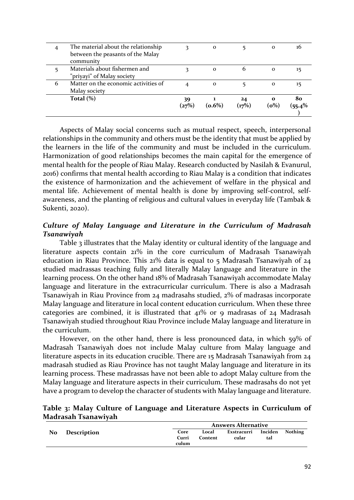|   | Total $(\%)$                                                                          | 39<br>(27%) | $(0.6\%)$    | 24<br>(17%) | $\mathbf{o}$<br>(o%) | 80<br>$(55.4\%$ |
|---|---------------------------------------------------------------------------------------|-------------|--------------|-------------|----------------------|-----------------|
| 6 | Matter on the economic activities of<br>Malay society                                 |             | $\mathbf{o}$ |             | $\mathbf{o}$         | 15              |
|   | Materials about fishermen and<br>"priyayi" of Malay society                           |             | $\mathbf{o}$ | 6           | $\mathbf{o}$         | 15              |
| 4 | The material about the relationship<br>between the peasants of the Malay<br>community |             | $\mathbf{o}$ |             | $\mathbf{o}$         | 16              |

Aspects of Malay social concerns such as mutual respect, speech, interpersonal relationships in the community and others must be the identity that must be applied by the learners in the life of the community and must be included in the curriculum. Harmonization of good relationships becomes the main capital for the emergence of mental health for the people of Riau Malay. Research conducted by Nasilah & Evanurul, 2016) confirms that mental health according to Riau Malay is a condition that indicates the existence of harmonization and the achievement of welfare in the physical and mental life. Achievement of mental health is done by improving self-control, selfawareness, and the planting of religious and cultural values in everyday life (Tambak & Sukenti, 2020).

# *Culture of Malay Language and Literature in the Curriculum of Madrasah Tsanawiyah*

Table 3 illustrates that the Malay identity or cultural identity of the language and literature aspects contain 21% in the core curriculum of Madrasah Tsanawiyah education in Riau Province. This 21% data is equal to 5 Madrasah Tsanawiyah of 24 studied madrassas teaching fully and literally Malay language and literature in the learning process. On the other hand 18% of Madrasah Tsanawiyah accommodate Malay language and literature in the extracurricular curriculum. There is also a Madrasah Tsanawiyah in Riau Province from 24 madrasahs studied, 2% of madrasas incorporate Malay language and literature in local content education curriculum. When these three categories are combined, it is illustrated that 41% or 9 madrasas of 24 Madrasah Tsanawiyah studied throughout Riau Province include Malay language and literature in the curriculum.

However, on the other hand, there is less pronounced data, in which 59% of Madrasah Tsanawiyah does not include Malay culture from Malay language and literature aspects in its education crucible. There are 15 Madrasah Tsanawiyah from 24 madrasah studied as Riau Province has not taught Malay language and literature in its learning process. These madrassas have not been able to adopt Malay culture from the Malay language and literature aspects in their curriculum. These madrasahs do not yet have a program to develop the character of students with Malay language and literature.

### **Table 3: Malay Culture of Language and Literature Aspects in Curriculum of Madrasah Tsanawiyah**

|    |             |                        | <b>Answers Alternative</b> |                                      |     |  |  |
|----|-------------|------------------------|----------------------------|--------------------------------------|-----|--|--|
| No | Description | Core<br>Curri<br>culum | Local<br>Content           | Exstracurri Inciden Nothing<br>cular | tal |  |  |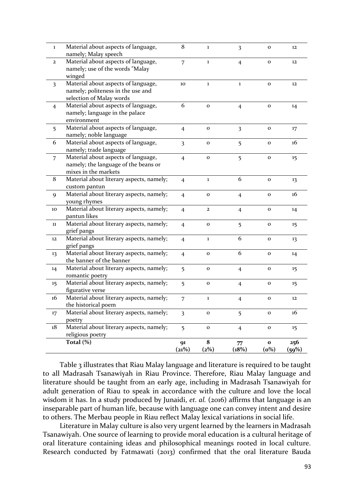| $\mathbf{1}$            | Material about aspects of language,<br>namely; Malay speech                                          | $\bf 8$                 | $\bf 1$      | $\overline{\mathbf{3}}$ | $\mathbf 0$             | 12                |
|-------------------------|------------------------------------------------------------------------------------------------------|-------------------------|--------------|-------------------------|-------------------------|-------------------|
| $\mathbf{2}$            | Material about aspects of language,<br>namely; use of the words "Malay<br>winged                     | 7                       | $\bf{1}$     | $\overline{4}$          | $\mathbf{o}$            | 12                |
| $\overline{\mathbf{3}}$ | Material about aspects of language,<br>namely; politeness in the use and<br>selection of Malay words | 10                      | $\mathbf 1$  | $\mathbf{1}$            | $\mathbf{o}$            | 12                |
| $\overline{4}$          | Material about aspects of language,<br>namely; language in the palace<br>environment                 | 6                       | $\mathbf 0$  | $\overline{4}$          | $\mathbf{o}$            | 14                |
| 5                       | Material about aspects of language,<br>namely; noble language                                        | $\overline{4}$          | $\mathbf{o}$ | 3                       | $\mathbf 0$             | 17                |
| 6                       | Material about aspects of language,<br>namely; trade language                                        | $\overline{3}$          | $\mathbf O$  | 5                       | $\mathbf 0$             | 16                |
| $\overline{7}$          | Material about aspects of language,<br>namely; the language of the beans or<br>mixes in the markets  | $\overline{4}$          | $\mathbf 0$  | 5                       | $\mathbf{o}$            | 15                |
| 8                       | Material about literary aspects, namely;<br>custom pantun                                            | $\overline{4}$          | $\mathbf{1}$ | 6                       | $\mathbf 0$             | 13                |
| 9                       | Material about literary aspects, namely;<br>young rhymes                                             | $\overline{4}$          | $\mathbf 0$  | $\overline{4}$          | $\mathbf{o}$            | 16                |
| 10                      | Material about literary aspects, namely;<br>pantun likes                                             | $\overline{4}$          | $\mathbf{2}$ | $\overline{4}$          | $\mathbf 0$             | 14                |
| 11                      | Material about literary aspects, namely;<br>grief pangs                                              | $\overline{4}$          | $\mathbf 0$  | 5                       | $\mathbf{o}$            | 15                |
| 12                      | Material about literary aspects, namely;<br>grief pangs                                              | $\overline{4}$          | $\bf{l}$     | 6                       | $\mathbf 0$             | 13                |
| 13                      | Material about literary aspects, namely;<br>the banner of the banner                                 | $\overline{4}$          | $\mathbf O$  | 6                       | $\mathbf{o}$            | 14                |
| 14                      | Material about literary aspects, namely;<br>romantic poetry                                          | 5                       | $\mathbf 0$  | $\overline{4}$          | 0                       | 15                |
| 15                      | Material about literary aspects, namely;<br>figurative verse                                         | 5                       | $\mathbf 0$  | $\overline{4}$          | $\mathbf{o}$            | 15 <sub>15</sub>  |
| 16                      | Material about literary aspects, namely;<br>the historical poem                                      | 7                       | $\mathbf 1$  | $\overline{4}$          | $\mathbf{o}$            | 12                |
| 17                      | Material about literary aspects, namely;<br>poetry                                                   | $\overline{\mathbf{3}}$ | $\mathbf O$  | 5                       | $\mathbf O$             | 16                |
| 18                      | Material about literary aspects, namely;<br>religious poetry                                         | 5                       | $\mathbf O$  | $\overline{4}$          | $\mathbf O$             | $15 \overline{)}$ |
|                         | Total (%)                                                                                            | 91<br>(21%)             | 8<br>(2%)    | 77<br>(18%)             | $\mathbf{o}$<br>$(o\%)$ | 256<br>(59%)      |

Table 3 illustrates that Riau Malay language and literature is required to be taught to all Madrasah Tsanawiyah in Riau Province. Therefore, Riau Malay language and literature should be taught from an early age, including in Madrasah Tsanawiyah for adult generation of Riau to speak in accordance with the culture and love the local wisdom it has. In a study produced by Junaidi, *et. al.* (2016) affirms that language is an inseparable part of human life, because with language one can convey intent and desire to others. The Merbau people in Riau reflect Malay lexical variations in social life.

Literature in Malay culture is also very urgent learned by the learners in Madrasah Tsanawiyah. One source of learning to provide moral education is a cultural heritage of oral literature containing ideas and philosophical meanings rooted in local culture. Research conducted by Fatmawati (2013) confirmed that the oral literature Bauda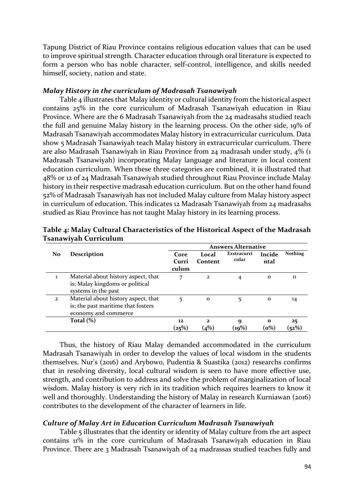Tapung District of Riau Province contains religious education values that can be used to improve spiritual strength. Character education through oral literature is expected to form a person who has noble character, self-control, intelligence, and skills needed himself, society, nation and state.

### *Malay History in the curriculum of Madrasah Tsanawiyah*

Table 4 illustrates that Malay identity or cultural identity from the historical aspect contains 25% in the core curriculum of Madrasah Tsanawiyah education in Riau Province. Where are the 6 Madrasah Tsanawiyah from the 24 madrasahs studied teach the full and genuine Malay history in the learning process. On the other side, 19% of Madrasah Tsanawiyah accommodates Malay history in extracurricular curriculum. Data show 5 Madrasah Tsanawiyah teach Malay history in extracurricular curriculum. There are also Madrasah Tsanawiyah in Riau Province from 24 madrasah under study, 4% (1 Madrasah Tsanawiyah) incorporating Malay language and literature in local content education curriculum. When these three categories are combined, it is illustrated that 48% or 12 of 24 Madrasah Tsanawiyah studied throughout Riau Province include Malay history in their respective madrasah education curriculum. But on the other hand found 52% of Madrasah Tsanawiyah has not included Malay culture from Malay history aspect in curriculum of education. This indicates 12 Madrasah Tsanawiyah from 24 madrasahs studied as Riau Province has not taught Malay history in its learning process.

|                |                                     | <b>Answers Alternative</b> |              |                |              |                |
|----------------|-------------------------------------|----------------------------|--------------|----------------|--------------|----------------|
| No.            | <b>Description</b>                  | Core                       | Local        | Exstracurri    | Incide       | <b>Nothing</b> |
|                |                                     | Curri                      | Content      | cular          | ntal         |                |
|                |                                     | culum                      |              |                |              |                |
| L              | Material about history aspect, that | 7                          | $\mathbf{2}$ | $\overline{4}$ | $\mathbf{o}$ | 11             |
|                | is; Malay kingdoms or political     |                            |              |                |              |                |
|                | systems in the past                 |                            |              |                |              |                |
| $\overline{2}$ | Material about history aspect, that | 5                          | $\mathbf{o}$ | 5              | $\mathbf{o}$ | 14             |
|                | is; the past maritime that fosters  |                            |              |                |              |                |
|                | economy and commerce                |                            |              |                |              |                |
|                | Total $(\%)$                        | 12                         | $\mathbf{2}$ | 9              | $\mathbf{o}$ | 25             |
|                |                                     | (25%)                      | (4%)         | $({\bf 19\%})$ | $(o\%)$      | (52%)          |

**Table 4: Malay Cultural Characteristics of the Historical Aspect of the Madrasah Tsanawiyah Curriculum**

Thus, the history of Riau Malay demanded accommodated in the curriculum Madrasah Tsanawiyah in order to develop the values of local wisdom in the students themselves. Nur's (2016) and Arybowo, Pudentia & Suastika (2012) researchs confirms that in resolving diversity, local cultural wisdom is seen to have more effective use, strength, and contribution to address and solve the problem of marginalization of local wisdom. Malay history is very rich in its tradition which requires learners to know it well and thoroughly. Understanding the history of Malay in research Kurniawan (2016) contributes to the development of the character of learners in life.

### *Culture of Malay Art in Education Curriculum Madrasah Tsanawiyah*

Table 5 illustrates that the identity or identity of Malay culture from the art aspect contains 11% in the core curriculum of Madrasah Tsanawiyah education in Riau Province. There are 3 Madrasah Tsanawiyah of 24 madrassas studied teaches fully and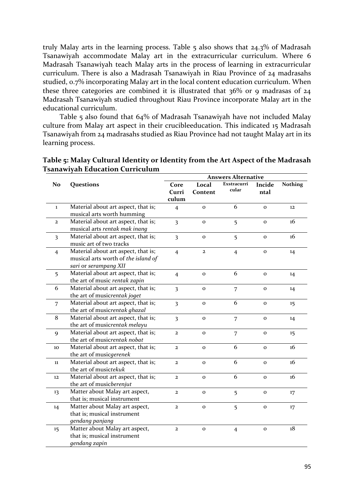truly Malay arts in the learning process. Table 5 also shows that 24.3% of Madrasah Tsanawiyah accommodate Malay art in the extracurricular curriculum. Where 6 Madrasah Tsanawiyah teach Malay arts in the process of learning in extracurricular curriculum. There is also a Madrasah Tsanawiyah in Riau Province of 24 madrasahs studied, 0.7% incorporating Malay art in the local content education curriculum. When these three categories are combined it is illustrated that  $36\%$  or 9 madrasas of  $24$ Madrasah Tsanawiyah studied throughout Riau Province incorporate Malay art in the educational curriculum.

Table 5 also found that 64% of Madrasah Tsanawiyah have not included Malay culture from Malay art aspect in their crucibleeducation. This indicated 15 Madrasah Tsanawiyah from 24 madrasahs studied as Riau Province had not taught Malay art in its learning process.

|                         |                                     | <b>Answers Alternative</b> |              |                      |              |                |
|-------------------------|-------------------------------------|----------------------------|--------------|----------------------|--------------|----------------|
| No                      | Questions                           | Core                       | Local        | Exstracurri<br>cular | Incide       | <b>Nothing</b> |
|                         |                                     | Curri                      | Content      |                      | ntal         |                |
|                         |                                     | culum                      |              |                      |              |                |
| $\bf{1}$                | Material about art aspect, that is; | $\overline{4}$             | $\mathbf{o}$ | 6                    | $\mathbf{o}$ | 12             |
|                         | musical arts worth humming          |                            |              |                      |              |                |
| $\mathbf{z}$            | Material about art aspect, that is; | 3                          | $\mathbf{o}$ | 5                    | $\mathbf 0$  | 16             |
|                         | musical arts rentak mak inang       |                            |              |                      |              |                |
| $\overline{\mathbf{3}}$ | Material about art aspect, that is; | $\overline{3}$             | $\mathbf{o}$ | 5                    | $\mathbf{o}$ | 16             |
|                         | music art of two tracks             |                            |              |                      |              |                |
| $\overline{4}$          | Material about art aspect, that is; | $\overline{4}$             | $\mathbf{z}$ | $\overline{4}$       | $\mathbf 0$  | 14             |
|                         | musical arts worth of the island of |                            |              |                      |              |                |
|                         | sari or serampang XII               |                            |              |                      |              |                |
| 5                       | Material about art aspect, that is; | $\overline{4}$             | $\mathbf{o}$ | 6                    | $\mathbf 0$  | 14             |
|                         | the art of music rentak zapin       |                            |              |                      |              |                |
| 6                       | Material about art aspect, that is; | $\overline{\mathbf{3}}$    | $\mathbf{o}$ | 7                    | $\mathbf{o}$ | 14             |
|                         | the art of musicrentak joget        |                            |              |                      |              |                |
| $\overline{7}$          | Material about art aspect, that is; | $\overline{\mathbf{3}}$    | $\mathbf{o}$ | 6                    | $\mathbf{o}$ | 15             |
|                         | the art of musicrentak ghazal       |                            |              |                      |              |                |
| 8                       | Material about art aspect, that is; | $\overline{\mathbf{3}}$    | $\mathbf{o}$ | $\overline{7}$       | $\mathbf{o}$ | 14             |
|                         | the art of musicrentak melayu       |                            |              |                      |              |                |
| 9                       | Material about art aspect, that is; | $\overline{2}$             | $\mathbf{o}$ | 7                    | $\mathbf{o}$ | 15             |
|                         | the art of musicrentak nobat        |                            |              |                      |              |                |
| 10                      | Material about art aspect, that is; | $\overline{2}$             | $\mathbf{o}$ | 6                    | $\mathbf{o}$ | 16             |
|                         | the art of musicgerenek             |                            |              |                      |              |                |
| $11\,$                  | Material about art aspect, that is; | $\overline{2}$             | $\mathbf{o}$ | 6                    | $\mathbf{o}$ | 16             |
|                         | the art of musictekuk               |                            |              |                      |              |                |
| 12                      | Material about art aspect, that is; | $\mathbf{2}$               | $\mathbf{o}$ | 6                    | $\mathbf{o}$ | 16             |
|                         | the art of musicberenjut            |                            |              |                      |              |                |
| 13                      | Matter about Malay art aspect,      | $\overline{2}$             | $\mathbf{o}$ | 5                    | $\mathbf{o}$ | 17             |
|                         | that is; musical instrument         |                            |              |                      |              |                |
| 14                      | Matter about Malay art aspect,      | $\overline{2}$             | $\mathbf{o}$ | 5                    | $\mathbf 0$  | 17             |
|                         | that is; musical instrument         |                            |              |                      |              |                |
|                         | gendang panjang                     |                            |              |                      |              |                |
| 15                      | Matter about Malay art aspect,      | $\mathbf{z}$               | $\mathbf O$  | $\overline{4}$       | $\mathbf 0$  | 18             |
|                         | that is; musical instrument         |                            |              |                      |              |                |
|                         | gendang zapin                       |                            |              |                      |              |                |

**Table 5: Malay Cultural Identity or Identity from the Art Aspect of the Madrasah Tsanawiyah Education Curriculum**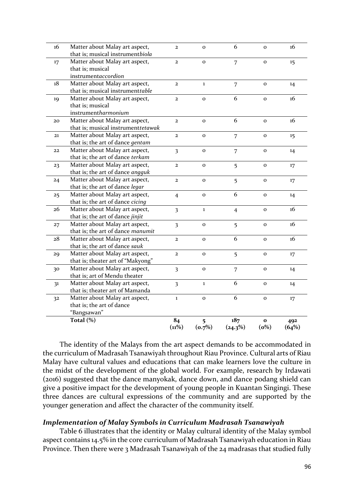|    | Total (%)                          | 84<br>$(11\%)$          | 5<br>(o.7%)  | 187<br>$(24.3\%)$ | $\mathbf{o}$<br>$(o\%)$ | 492<br>(64%) |
|----|------------------------------------|-------------------------|--------------|-------------------|-------------------------|--------------|
|    | "Bangsawan"                        |                         |              |                   |                         |              |
|    | that is; the art of dance          |                         |              |                   |                         |              |
| 32 | Matter about Malay art aspect,     | $\mathbf{1}$            | $\mathbf 0$  | 6                 | $\mathbf{o}$            | 17           |
|    | that is; theater art of Mamanda    |                         |              |                   |                         |              |
| 31 | Matter about Malay art aspect,     | $\overline{\mathbf{3}}$ | $\mathbf{1}$ | 6                 | $\mathbf{o}$            | 14           |
|    | that is; art of Mendu theater      |                         |              |                   |                         |              |
| 30 | Matter about Malay art aspect,     | $\overline{\mathbf{3}}$ | $\mathbf{o}$ | 7                 | $\mathbf{o}$            | 14           |
|    | that is; theater art of "Makyong"  |                         |              |                   |                         |              |
| 29 | Matter about Malay art aspect,     | $\mathbf{2}$            | $\mathbf{o}$ | 5                 | $\mathbf{o}$            | 17           |
|    | that is; the art of dance sauk     |                         |              |                   |                         |              |
| 28 | Matter about Malay art aspect,     | $\overline{a}$          | $\mathbf{o}$ | 6                 | $\mathbf{o}$            | 16           |
|    | that is; the art of dance manumit  |                         |              |                   |                         |              |
| 27 | Matter about Malay art aspect,     | $\overline{\mathbf{3}}$ | $\mathbf{o}$ | 5                 | $\mathbf{o}$            | 16           |
|    | that is; the art of dance jinjit   |                         |              |                   |                         |              |
| 26 | Matter about Malay art aspect,     | $\overline{\mathbf{3}}$ | $\mathbf{1}$ | $\overline{4}$    | $\mathbf O$             | 16           |
|    | that is; the art of dance cicing   |                         |              |                   |                         |              |
| 25 | Matter about Malay art aspect,     | $\overline{4}$          | $\mathbf{o}$ | 6                 | $\mathbf{o}$            | 14           |
|    | that is; the art of dance legar    |                         |              |                   |                         |              |
| 24 | Matter about Malay art aspect,     | $\overline{2}$          | $\mathbf{o}$ | 5                 | $\mathbf{o}$            | 17           |
|    | that is; the art of dance angguk   |                         |              |                   |                         |              |
| 23 | Matter about Malay art aspect,     | $\overline{2}$          | $\mathbf{o}$ | 5                 | $\mathbf O$             | 17           |
|    | that is; the art of dance terkam   |                         |              |                   |                         |              |
| 22 | Matter about Malay art aspect,     | $\overline{\mathbf{3}}$ | $\mathbf{o}$ | 7                 | $\mathbf{o}$            | 14           |
|    | that is; the art of dance gentam   |                         |              |                   |                         |              |
| 21 | Matter about Malay art aspect,     | $\overline{2}$          | $\mathbf{o}$ | 7                 | $\mathbf{o}$            | 15           |
|    | that is; musical instrumenttetawak |                         |              |                   |                         |              |
| 20 | Matter about Malay art aspect,     | $\mathbf{z}$            | $\mathbf 0$  | 6                 | $\mathbf{o}$            | 16           |
|    | instrumentharmonium                |                         |              |                   |                         |              |
|    | that is; musical                   |                         |              |                   |                         |              |
| 19 | Matter about Malay art aspect,     | $\mathbf{z}$            | $\mathbf{o}$ | 6                 | $\mathbf{o}$            | 16           |
|    | that is; musical instrumenttable   |                         |              |                   |                         |              |
| 18 | Matter about Malay art aspect,     | $\mathbf{z}$            | $\bf{1}$     | 7                 | $\mathbf{o}$            | 14           |
|    | instrumentaccordion                |                         |              |                   |                         |              |
|    | that is; musical                   |                         |              |                   |                         |              |
| 17 | Matter about Malay art aspect,     | $\overline{2}$          | $\mathbf{o}$ | 7                 | $\mathbf{o}$            | 15           |
|    | that is; musical instrumentbiola   |                         |              |                   |                         |              |
| 16 | Matter about Malay art aspect,     | $\mathbf{z}$            | $\mathbf{o}$ | 6                 | $\mathbf{o}$            | 16           |

The identity of the Malays from the art aspect demands to be accommodated in the curriculum of Madrasah Tsanawiyah throughout Riau Province. Cultural arts of Riau Malay have cultural values and educations that can make learners love the culture in the midst of the development of the global world. For example, research by Irdawati (2016) suggested that the dance manyokak, dance down, and dance podang shield can give a positive impact for the development of young people in Kuantan Singingi. These three dances are cultural expressions of the community and are supported by the younger generation and affect the character of the community itself.

# *Implementation of Malay Symbols in Curriculum Madrasah Tsanawiyah*

Table 6 illustrates that the identity or Malay cultural identity of the Malay symbol aspect contains 14.5% in the core curriculum of Madrasah Tsanawiyah education in Riau Province. Then there were 3 Madrasah Tsanawiyah of the 24 madrasas that studied fully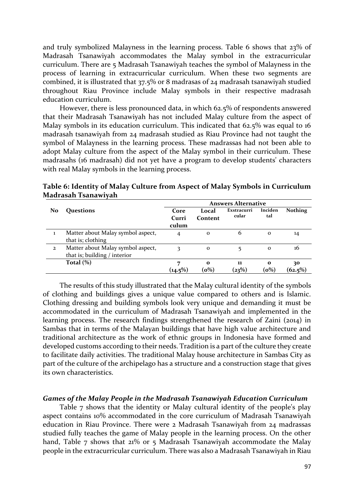and truly symbolized Malayness in the learning process. Table 6 shows that 23% of Madrasah Tsanawiyah accommodates the Malay symbol in the extracurricular curriculum. There are 5 Madrasah Tsanawiyah teaches the symbol of Malayness in the process of learning in extracurricular curriculum. When these two segments are combined, it is illustrated that 37.5% or 8 madrasas of 24 madrasah tsanawiyah studied throughout Riau Province include Malay symbols in their respective madrasah education curriculum.

However, there is less pronounced data, in which 62.5% of respondents answered that their Madrasah Tsanawiyah has not included Malay culture from the aspect of Malay symbols in its education curriculum. This indicated that 62.5% was equal to 16 madrasah tsanawiyah from 24 madrasah studied as Riau Province had not taught the symbol of Malayness in the learning process. These madrassas had not been able to adopt Malay culture from the aspect of the Malay symbol in their curriculum. These madrasahs (16 madrasah) did not yet have a program to develop students' characters with real Malay symbols in the learning process.

|              |                                   | <b>Answers Alternative</b> |              |             |              |                |
|--------------|-----------------------------------|----------------------------|--------------|-------------|--------------|----------------|
| No           | <b>Ouestions</b>                  | Core                       | Local        | Exstracurri | Inciden      | <b>Nothing</b> |
|              |                                   | Curri                      | Content      | cular       | tal          |                |
|              |                                   | culum                      |              |             |              |                |
|              | Matter about Malay symbol aspect, | 4                          | $\mathbf{o}$ | 6           | $\mathbf{o}$ | 14             |
|              | that is; clothing                 |                            |              |             |              |                |
| $\mathbf{2}$ | Matter about Malay symbol aspect, | 3                          | $\mathbf{o}$ |             | $\mathbf 0$  | 16             |
|              | that is; building / interior      |                            |              |             |              |                |
|              | Total $(\%)$                      |                            | $\mathbf{o}$ | 11          | $\Omega$     | 30             |
|              |                                   | $(14.5\%)$                 | $(o\%)$      | (23%)       | $(o\%)$      | $(62.5\%)$     |

**Table 6: Identity of Malay Culture from Aspect of Malay Symbols in Curriculum Madrasah Tsanawiyah**

The results of this study illustrated that the Malay cultural identity of the symbols of clothing and buildings gives a unique value compared to others and is Islamic. Clothing dressing and building symbols look very unique and demanding it must be accommodated in the curriculum of Madrasah Tsanawiyah and implemented in the learning process. The research findings strengthened the research of Zaini (2014) in Sambas that in terms of the Malayan buildings that have high value architecture and traditional architecture as the work of ethnic groups in Indonesia have formed and developed customs according to their needs. Tradition is a part of the culture they create to facilitate daily activities. The traditional Malay house architecture in Sambas City as part of the culture of the archipelago has a structure and a construction stage that gives its own characteristics.

#### *Games of the Malay People in the Madrasah Tsanawiyah Education Curriculum*

Table 7 shows that the identity or Malay cultural identity of the people's play aspect contains 10% accommodated in the core curriculum of Madrasah Tsanawiyah education in Riau Province. There were 2 Madrasah Tsanawiyah from 24 madrassas studied fully teaches the game of Malay people in the learning process. On the other hand, Table 7 shows that 21% or 5 Madrasah Tsanawiyah accommodate the Malay people in the extracurricular curriculum. There was also a Madrasah Tsanawiyah in Riau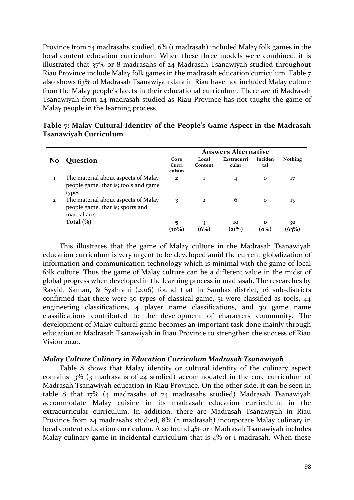Province from 24 madrasahs studied, 6% (1 madrasah) included Malay folk games in the local content education curriculum. When these three models were combined, it is illustrated that 37% or 8 madrasahs of 24 Madrasah Tsanawiyah studied throughout Riau Province include Malay folk games in the madrasah education curriculum. Table 7 also shows 63% of Madrasah Tsanawiyah data in Riau have not included Malay culture from the Malay people's facets in their educational curriculum. There are 16 Madrasah Tsanawiyah from 24 madrasah studied as Riau Province has not taught the game of Malay people in the learning process.

|                |                                                                                         |                        |                  | <b>Answers Alternative</b> |                 |                |
|----------------|-----------------------------------------------------------------------------------------|------------------------|------------------|----------------------------|-----------------|----------------|
| No             | Question                                                                                | Core<br>Curri<br>culum | Local<br>Content | Exstracurri<br>cular       | Inciden<br>tal  | <b>Nothing</b> |
| 1              | The material about aspects of Malay<br>people game, that is; tools and game<br>types    | $\overline{2}$         | 1                | 4                          | $\mathbf{o}$    | 17             |
| $\overline{2}$ | The material about aspects of Malay<br>people game, that is; sports and<br>martial arts | 3                      | 2                | 6                          | $\mathbf{o}$    | 13             |
|                | Total $(\%)$                                                                            | 5<br>(10%)             | (6%)             | 10<br>(21%)                | $\Omega$<br>(o% | 30<br>$(63\%$  |

| Table 7: Malay Cultural Identity of the People's Game Aspect in the Madrasah |  |  |
|------------------------------------------------------------------------------|--|--|
| Tsanawiyah Curriculum                                                        |  |  |

This illustrates that the game of Malay culture in the Madrasah Tsanawiyah education curriculum is very urgent to be developed amid the current globalization of information and communication technology which is minimal with the game of local folk culture. Thus the game of Malay culture can be a different value in the midst of global progress when developed in the learning process in madrasah. The researches by Rasyid, Saman, & Syahrani (2016) found that in Sambas district, 16 sub-districts confirmed that there were 30 types of classical game, 51 were classified as tools, 44 engineering classifications, 4 player name classifications, and 30 game name classifications contributed to the development of characters community. The development of Malay cultural game becomes an important task done mainly through education at Madrasah Tsanawiyah in Riau Province to strengthen the success of Riau Vision 2020.

#### *Malay Culture Culinary in Education Curriculum Madrasah Tsanawiyah*

Table 8 shows that Malay identity or cultural identity of the culinary aspect contains 13% (3 madrasahs of 24 studied) accommodated in the core curriculum of Madrasah Tsanawiyah education in Riau Province. On the other side, it can be seen in table 8 that 17% (4 madrasahs of 24 madrasahs studied) Madrasah Tsanawiyah accommodate Malay cuisine in its madrasah education curriculum, in the extracurricular curriculum. In addition, there are Madrasah Tsanawiyah in Riau Province from 24 madrasahs studied, 8% (2 madrasah) incorporate Malay culinary in local content education curriculum. Also found 4% or 1 Madrasah Tsanawiyah includes Malay culinary game in incidental curriculum that is 4% or 1 madrasah. When these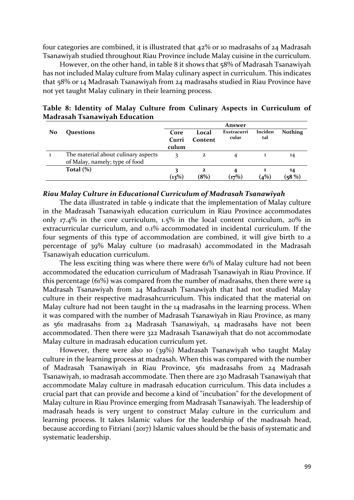four categories are combined, it is illustrated that 42% or 10 madrasahs of 24 Madrasah Tsanawiyah studied throughout Riau Province include Malay cuisine in the curriculum.

However, on the other hand, in table 8 it shows that 58% of Madrasah Tsanawiyah has not included Malay culture from Malay culinary aspect in curriculum. This indicates that 58% or 14 Madrasah Tsanawiyah from 24 madrasahs studied in Riau Province have not yet taught Malay culinary in their learning process.

|    |                                     | Answer |              |             |         |                |  |
|----|-------------------------------------|--------|--------------|-------------|---------|----------------|--|
| No | Questions                           | Core   | Local        | Exstracurri | Inciden | <b>Nothing</b> |  |
|    |                                     | Curri  | Content      | cular       | tal     |                |  |
|    |                                     | culum  |              |             |         |                |  |
|    | The material about culinary aspects |        | 2            |             |         | 14             |  |
|    | of Malay, namely; type of food      |        |              |             |         |                |  |
|    | Total $(\%)$                        |        | $\mathbf{z}$ |             |         | 14             |  |
|    |                                     | (13%)  | $(8\%)$      | (17%)       | (4%)    | (58%)          |  |

**Table 8: Identity of Malay Culture from Culinary Aspects in Curriculum of Madrasah Tsanawiyah Education**

#### *Riau Malay Culture in Educational Curriculum of Madrasah Tsanawiyah*

The data illustrated in table 9 indicate that the implementation of Malay culture in the Madrasah Tsanawiyah education curriculum in Riau Province accommodates only 17.4% in the core curriculum, 1.5% in the local content curriculum, 20% in extracurricular curriculum, and 0.1% accommodated in incidental curriculum. If the four segments of this type of accommodation are combined, it will give birth to a percentage of 39% Malay culture (10 madrasah) accommodated in the Madrasah Tsanawiyah education curriculum.

The less exciting thing was where there were 61% of Malay culture had not been accommodated the education curriculum of Madrasah Tsanawiyah in Riau Province. If this percentage (61%) was compared from the number of madrasahs, then there were 14 Madrasah Tsanawiyah from 24 Madrasah Tsanawiyah that had not studied Malay culture in their respective madrasahcurriculum. This indicated that the material on Malay culture had not been taught in the 14 madrasahs in the learning process. When it was compared with the number of Madrasah Tsanawiyah in Riau Province, as many as 561 madrasahs from 24 Madrasah Tsanawiyah, 14 madrasahs have not been accommodated. Then there were 322 Madrasah Tsanawiyah that do not accommodate Malay culture in madrasah education curriculum yet.

However, there were also 10 (39%) Madrasah Tsanawiyah who taught Malay culture in the learning process at madrasah. When this was compared with the number of Madrasah Tsanawiyah in Riau Province, 561 madrasahs from 24 Madrasah Tsanawiyah, 10 madrasah accommodate. Then there are 230 Madrasah Tsanawiyah that accommodate Malay culture in madrasah education curriculum. This data includes a crucial part that can provide and become a kind of "incubation" for the development of Malay culture in Riau Province emerging from Madrasah Tsanawiyah. The leadership of madrasah heads is very urgent to construct Malay culture in the curriculum and learning process. It takes Islamic values for the leadership of the madrasah head, because according to Fitriani (2017) Islamic values should be the basis of systematic and systematic leadership.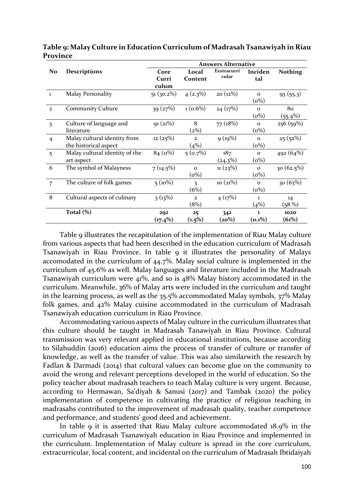|                |                                | <b>Answers Alternative</b> |                |                      |              |                |
|----------------|--------------------------------|----------------------------|----------------|----------------------|--------------|----------------|
| N <sub>o</sub> | <b>Descriptions</b>            | Core                       | Local          | Exstracurri<br>cular | Inciden      | <b>Nothing</b> |
|                |                                | Curri                      | Content        |                      | tal          |                |
|                |                                | culum                      |                |                      |              |                |
| $\mathbf{1}$   | <b>Malay Personality</b>       | $51(30.2\%)$               | $4(2.3\%)$     | $20(12\%)$           | $\mathbf 0$  | 93(55.3)       |
|                |                                |                            |                |                      | $(0\%)$      |                |
| $\overline{2}$ | <b>Community Culture</b>       | 39(27%)                    | $1(0.6\%)$     | 24(17%)              | $\Omega$     | 80             |
|                |                                |                            |                |                      | $(o\%)$      | $(55.4\%)$     |
| 3              | Culture of language and        | 91(21%)                    | 8              | 77 (18%)             | $\Omega$     | 256 (59%)      |
|                | literature                     |                            | (2%)           |                      | $(o\%)$      |                |
| $\overline{4}$ | Malay cultural identity from   | 12(25%)                    | $\mathbf{2}$   | 9(19%)               | $\Omega$     | 25(52%)        |
|                | the historical aspect          |                            | (4%)           |                      | $(0\%)$      |                |
| 5              | Malay cultural identity of the | 84(11%)                    | $5(0.7\%)$     | 187                  | $\Omega$     | 492(64%)       |
|                | art aspect                     |                            |                | $(24.3\%)$           | $(o\%)$      |                |
| 6              | The symbol of Malayness        | 7(14.5%)                   | $\Omega$       | 11(23%)              | $\Omega$     | $30(62.5\%)$   |
|                |                                |                            | $(o\%)$        |                      | $(o\%)$      |                |
| $\overline{7}$ | The culture of folk games      | $5(10\%)$                  | 3              | 10(21%)              | $\Omega$     | 30(63%)        |
|                |                                |                            | (6%)           |                      | $(0\%)$      |                |
| 8              | Cultural aspects of culinary   | $3(13\%)$                  | $\overline{2}$ | 4(17%)               | $\mathbf{I}$ | 14             |
|                |                                |                            | (8%)           |                      | (4%)         | (58%)          |
|                | Total $(\%)$                   | 202                        | 25             | 342                  | 1.           | 1020           |
|                |                                | $(17.4\%)$                 | $(1.5\%)$      | (20%)                | $(0.1\%)$    | (61%)          |

**Table 9: Malay Culture in Education Curriculum of Madrasah Tsanawiyah in Riau Province**

Table 9 illustrates the recapitulation of the implementation of Riau Malay culture from various aspects that had been described in the education curriculum of Madrasah Tsanawiyah in Riau Province. In table 9 it illustrates the personality of Malays accomodated in the curriculum of 44.7%. Malay social culture is implemented in the curriculum of 45.6% as well. Malay languages and literature included in the Madrasah Tsanawiyah curriculum were 41%, and so is 48% Malay history accommodated in the curriculum. Meanwhile, 36% of Malay arts were included in the curriculum and taught in the learning process, as well as the 35.5% accommodated Malay symbols, 37% Malay folk games, and 42% Malay cuisine accommodated in the curriculum of Madrasah Tsanawiyah education curriculum in Riau Province.

Accommodating various aspects of Malay culture in the curriculum illustrates that this culture should be taught in Madrasah Tanawiyah in Riau Province. Cultural transmission was very relevant applied in educational institutions, because according to Silahuddin (2016) education aims the process of transfer of culture or transfer of knowledge, as well as the transfer of value. This was also similarwith the research by Fadlan & Darmadi (2014) that cultural values can become glue on the community to avoid the wrong and relevant perceptions developed in the world of education. So the policy teacher about madrasah teachers to teach Malay culture is very urgent. Because, according to Hermawan, Sa'diyah & Sanusi (2017) and Tambak (2020) the policy implementation of competence in cultivating the practice of religious teaching in madrasahs contributed to the improvement of madrasah quality, teacher competence and performance, and students' good deed and achievement.

In table 9 it is asserted that Riau Malay culture accommodated 18.9% in the curriculum of Madrasah Tsanawiyah education in Riau Province and implemented in the curriculum. Implementation of Malay culture is spread in the core curriculum, extracurricular, local content, and incidental on the curriculum of Madrasah Ibtidaiyah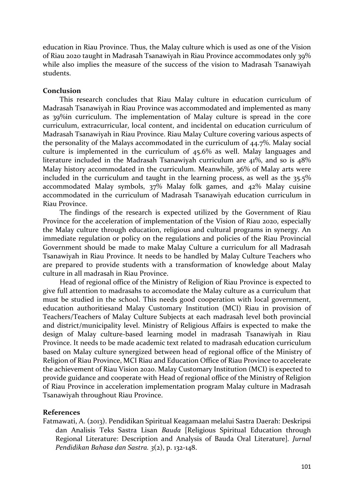education in Riau Province. Thus, the Malay culture which is used as one of the Vision of Riau 2020 taught in Madrasah Tsanawiyah in Riau Province accommodates only 39% while also implies the measure of the success of the vision to Madrasah Tsanawiyah students.

### **Conclusion**

This research concludes that Riau Malay culture in education curriculum of Madrasah Tsanawiyah in Riau Province was accommodated and implemented as many as 39%in curriculum. The implementation of Malay culture is spread in the core curriculum, extracurricular, local content, and incidental on education curriculum of Madrasah Tsanawiyah in Riau Province. Riau Malay Culture covering various aspects of the personality of the Malays accommodated in the curriculum of 44.7%. Malay social culture is implemented in the curriculum of 45.6% as well. Malay languages and literature included in the Madrasah Tsanawiyah curriculum are 41%, and so is 48% Malay history accommodated in the curriculum. Meanwhile, 36% of Malay arts were included in the curriculum and taught in the learning process, as well as the 35.5% accommodated Malay symbols, 37% Malay folk games, and 42% Malay cuisine accommodated in the curriculum of Madrasah Tsanawiyah education curriculum in Riau Province.

The findings of the research is expected utilized by the Government of Riau Province for the acceleration of implementation of the Vision of Riau 2020, especially the Malay culture through education, religious and cultural programs in synergy. An immediate regulation or policy on the regulations and policies of the Riau Provincial Government should be made to make Malay Culture a curriculum for all Madrasah Tsanawiyah in Riau Province. It needs to be handled by Malay Culture Teachers who are prepared to provide students with a transformation of knowledge about Malay culture in all madrasah in Riau Province.

Head of regional office of the Ministry of Religion of Riau Province is expected to give full attention to madrasahs to accomodate the Malay culture as a curriculum that must be studied in the school. This needs good cooperation with local government, education authoritiesand Malay Customary Institution (MCI) Riau in provision of Teachers/Teachers of Malay Culture Subjects at each madrasah level both provincial and district/municipality level. Ministry of Religious Affairs is expected to make the design of Malay culture-based learning model in madrasah Tsanawiyah in Riau Province. It needs to be made academic text related to madrasah education curriculum based on Malay culture synergized between head of regional office of the Ministry of Religion of Riau Province, MCI Riau and Education Office of Riau Province to accelerate the achievement of Riau Vision 2020. Malay Customary Institution (MCI) is expected to provide guidance and cooperate with Head of regional office of the Ministry of Religion of Riau Province in acceleration implementation program Malay culture in Madrasah Tsanawiyah throughout Riau Province.

## **References**

Fatmawati, A. (2013). Pendidikan Spiritual Keagamaan melalui Sastra Daerah: Deskripsi dan Analisis Teks Sastra Lisan *Bauda* [Religious Spiritual Education through Regional Literature: Description and Analysis of Bauda Oral Literature]*. Jurnal Pendidikan Bahasa dan Sastra. 3*(2), p. 132-148.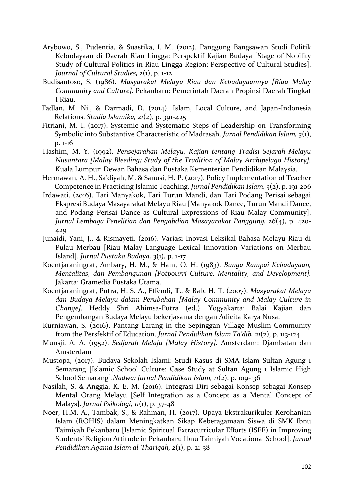- Arybowo, S., Pudentia, & Suastika, I. M. (2012). Panggung Bangsawan Studi Politik Kebudayaan di Daerah Riau Lingga: Perspektif Kajian Budaya [Stage of Nobility Study of Cultural Politics in Riau Lingga Region: Perspective of Cultural Studies]. *Journal of Cultural Studies, 2*(1), p. 1-12
- Budisantoso, S. (1986). *Masyarakat Melayu Riau dan Kebudayaannya [Riau Malay Community and Culture].* Pekanbaru: Pemerintah Daerah Propinsi Daerah Tingkat I Riau.
- Fadlan, M. Ni., & Darmadi, D. (2014). Islam, Local Culture, and Japan-Indonesia Relations. *Studia Islamika, 21*(2), p. 391-425
- Fitriani, M. I. (2017). Systemic and Systematic Steps of Leadership on Transforming Symbolic into Substantive Characteristic of Madrasah. *Jurnal Pendidikan Islam, 3*(1), p. 1-16
- Hashim, M. Y. (1992). *Pensejarahan Melayu; Kajian tentang Tradisi Sejarah Melayu Nusantara [Malay Bleeding; Study of the Tradition of Malay Archipelago History].*  Kuala Lumpur: Dewan Bahasa dan Pustaka Kementerian Pendidikan Malaysia.
- Hermawan, A. H., Sa'diyah, M. & Sanusi, H. P. (2017). Policy Implementation of Teacher Competence in Practicing Islamic Teaching. *Jurnal Pendidikan Islam, 3*(2), p. 191-206
- Irdawati. (2016). Tari Manyakok, Tari Turun Mandi, dan Tari Podang Perisai sebagai Ekspresi Budaya Masayarakat Melayu Riau [Manyakok Dance, Turun Mandi Dance, and Podang Perisai Dance as Cultural Expressions of Riau Malay Community]. *Jurnal Lembaga Penelitian dan Pengabdian Masayarakat Panggung, 26*(4), p. 420- 429
- Junaidi, Yani, J., & Rismayeti. (2016). Variasi Inovasi Leksikal Bahasa Melayu Riau di Pulau Merbau [Riau Malay Language Lexical Innovation Variations on Merbau Island]. *Jurnal Pustaka Budaya, 3*(1), p. 1-17
- Koentjaraningrat, Ambary, H. M., & Ham, O. H. (1983). *Bunga Rampai Kebudayaan, Mentalitas, dan Pembangunan [Potpourri Culture, Mentality, and Development].*  Jakarta: Gramedia Pustaka Utama.
- Koentjaraningrat, Putra, H. S. A., Effendi, T., & Rab, H. T. (2007). *Masyarakat Melayu dan Budaya Melayu dalam Perubahan [Malay Community and Malay Culture in Change].* Heddy Shri Ahimsa-Putra (ed.). Yogyakarta: Balai Kajian dan Pengembangan Budaya Melayu bekerjasama dengan Adicita Karya Nusa.
- Kurniawan, S. (2016). Pantang Larang in the Sepinggan Village Muslim Community from the Persfektif of Education. *Jurnal Pendidikan Islam Ta'dib, 21*(2), p. 113-124
- Munsji, A. A. (1952). *Sedjarah Melaju [Malay History].* Amsterdam: Djambatan dan Amsterdam
- Mustopa, (2017). Budaya Sekolah Islami: Studi Kasus di SMA Islam Sultan Agung 1 Semarang [Islamic School Culture: Case Study at Sultan Agung 1 Islamic High School Semarang].*Nadwa: Jurnal Pendidikan Islam, 11*(2), p. 109-136
- Nasilah, S. & Anggia, K. E. M. (2016). Integrasi Diri sebagai Konsep sebagai Konsep Mental Orang Melayu [Self Integration as a Concept as a Mental Concept of Malays]. *Jurnal Psikologi, 11*(1), p. 37-48
- Noer, H.M. A., Tambak, S., & Rahman, H. (2017). [Upaya Ekstrakurikuler Kerohanian](javascript:void(0))  [Islam \(ROHIS\) dalam Meningkatkan Sikap Keberagamaan Siswa di SMK Ibnu](javascript:void(0))  [Taimiyah Pekanbaru](javascript:void(0)) [Islamic Spiritual Extracurricular Efforts (ISEE) in Improving Students' Religion Attitude in Pekanbaru Ibnu Taimiyah Vocational School]. *Jurnal Pendidikan Agama Islam al-Thariqah, 2*(1), p. 21-38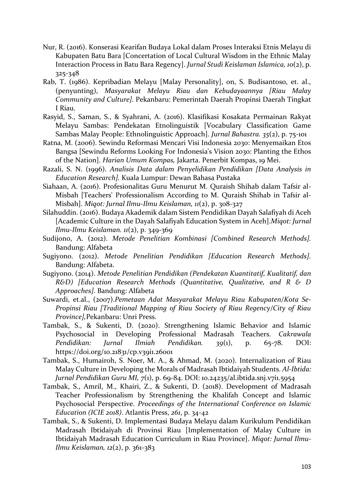- Nur, R. (2016). Konserasi Kearifan Budaya Lokal dalam Proses Interaksi Etnis Melayu di Kabupaten Batu Bara [Concertation of Local Cultural Wisdom in the Ethnic Malay Interaction Process in Batu Bara Regency]. *Jurnal Studi Keislaman Islamica, 10*(2), p. 325-348
- Rab, T. (1986). Kepribadian Melayu [Malay Personality], on, S. Budisantoso, et. al., (penyunting), *Masyarakat Melayu Riau dan Kebudayaannya [Riau Malay Community and Culture].* Pekanbaru: Pemerintah Daerah Propinsi Daerah Tingkat I Riau.
- Rasyid, S., Saman, S., & Syahrani, A. (2016). Klasifikasi Kosakata Permainan Rakyat Melayu Sambas: Pendekatan Etnolinguistik [Vocabulary Classification Game Sambas Malay People: Ethnolinguistic Approach]. *Jurnal Bahastra. 35*(2), p. 75-101
- Ratna, M. (2006). Sewindu Reformasi Mencari Visi Indonesia 2030: Menyemaikan Etos Bangsa [Sewindu Reforms Looking For Indonesia's Vision 2030: Planting the Ethos of the Nation]. *Harian Umum Kompas,* Jakarta. Penerbit Kompas, 19 Mei.
- Razali, S. N. (1996). *Analisis Data dalam Penyelidikan Pendidikan [Data Analysis in Education Research].* Kuala Lumpur: Dewan Bahasa Pustaka
- Siahaan, A. (2016). Profesionalitas Guru Menurut M. Quraish Shihab dalam Tafsir al-Misbah [Teachers' Professionalism According to M. Quraish Shihab in Tafsir al-Misbah]. *Miqot: Jurnal Ilmu-Ilmu Keislaman, 11*(2), p. 308-327
- Silahuddin. (2016). Budaya Akademik dalam Sistem Pendidikan Dayah Salafiyah di Aceh [Academic Culture in the Dayah Salafiyah Education System in Aceh].*Miqot: Jurnal Ilmu-Ilmu Keislaman. 11*(2), p. 349-369
- Sudijono, A. (2012). *Metode Penelitian Kombinasi [Combined Research Methods].* Bandung: Alfabeta
- Sugiyono. (2012). *Metode Penelitian Pendidikan [Education Research Methods].* Bandung: Alfabeta.
- Sugiyono. (2014). *Metode Penelitian Pendidikan (Pendekatan Kuantitatif, Kualitatif, dan R&D) [Education Research Methods (Quantitative, Qualitative, and R & D Approaches].* Bandung: Alfabeta
- Suwardi, et.al., (2007).*Pemetaan Adat Masyarakat Melayu Riau Kabupaten/Kota Se-Propinsi Riau [Traditional Mapping of Riau Society of Riau Regency/City of Riau Province],*Pekanbaru: Unri Press.
- Tambak, S., & Sukenti, D. (2020). Strengthening Islamic Behavior and Islamic Psychosocial in Developing Professional Madrasah Teachers. *Cakrawala Pendidikan: Jurnal Ilmiah Pendidikan. 39*(1), p. 65-78. DOI: https://doi.org/10.21831/cp.v39i1.26001
- Tambak, S., Humairoh, S. Noer, M. A., & Ahmad, M. (2020). Internalization of Riau Malay Culture in Developing the Morals of Madrasah Ibtidaiyah Students. *Al-Ibtida: Jurnal Pendidikan Guru MI, 7*(1), p. 69-84. DOI: 10.24235/al.ibtida.snj.v7i1.5954
- Tambak, S., Amril, M., Khairi, Z., & Sukenti, D. (2018). Development of Madrasah Teacher Professionalism by Strengthening the Khalifah Concept and Islamic Psychosocial Perspective. *Proceedings of the International Conference on Islamic Education (ICIE 2018)*. Atlantis Press, *261*, p. 34-42
- Tambak, S., & Sukenti, D. Implementasi Budaya Melayu dalam Kurikulum Pendidikan Madrasah Ibtidaiyah di Provinsi Riau [Implementation of Malay Culture in Ibtidaiyah Madrasah Education Curriculum in Riau Province]. *Miqot: Jurnal Ilmu-Ilmu Keislaman, 12*(2), p. 361-383